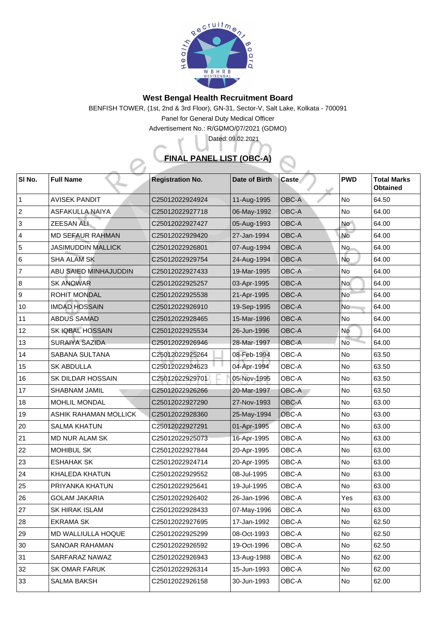

## **West Bengal Health Recruitment Board**

BENFISH TOWER, (1st, 2nd & 3rd Floor), GN-31, Sector-V, Salt Lake, Kolkata - 700091

Panel for General Duty Medical Officer

Advertisement No.: R/GDMO/07/2021 (GDMO)

## **FINAL PANEL LIST (OBC-A)**

Dated: 09.02.2021

| SI No.         | <b>Full Name</b>             | <b>Registration No.</b> | Date of Birth | <b>Caste</b> | <b>PWD</b> | <b>Total Marks</b><br><b>Obtained</b> |
|----------------|------------------------------|-------------------------|---------------|--------------|------------|---------------------------------------|
|                | <b>AVISEK PANDIT</b>         | C25012022924924         | 11-Aug-1995   | <b>OBC-A</b> | No         | 64.50                                 |
| 2              | <b>ASFAKULLA NAIYA</b>       | C25012022927718         | 06-May-1992   | <b>OBC-A</b> | <b>No</b>  | 64.00                                 |
| 3              | <b>ZEESAN ALI</b>            | C25012022927427         | 05-Aug-1993   | <b>OBC-A</b> | <b>No</b>  | 64.00                                 |
| $\overline{4}$ | <b>MD SEFAUR RAHMAN</b>      | C25012022929420         | 27-Jan-1994   | <b>OBC-A</b> | <b>No</b>  | 64.00                                 |
| 5              | <b>JASIMUDDIN MALLICK</b>    | C25012022926801         | 07-Aug-1994   | <b>OBC-A</b> | <b>No</b>  | 64.00                                 |
| 6              | <b>SHA ALAM SK</b>           | C25012022929754         | 24-Aug-1994   | <b>OBC-A</b> | <b>No</b>  | 64.00                                 |
| $\overline{7}$ | <b>ABU SAIED MINHAJUDDIN</b> | C25012022927433         | 19-Mar-1995   | <b>OBC-A</b> | <b>No</b>  | 64.00                                 |
| 8              | <b>SK ANOWAR</b>             | C25012022925257         | 03-Apr-1995   | <b>OBC-A</b> | <b>No</b>  | 64.00                                 |
| 9              | <b>ROHIT MONDAL</b>          | C25012022925538         | 21-Apr-1995   | <b>OBC-A</b> | <b>No</b>  | 64.00                                 |
| 10             | <b>IMDAD HOSSAIN</b>         | C25012022926910         | 19-Sep-1995   | <b>OBC-A</b> | <b>No</b>  | 64.00                                 |
| 11             | <b>ABDUS SAMAD</b>           | C25012022928465         | 15-Mar-1996   | <b>OBC-A</b> | No         | 64.00                                 |
| 12             | <b>SK IQBAL HOSSAIN</b>      | C25012022925534         | 26-Jun-1996   | <b>OBC-A</b> | No         | 64.00                                 |
| 13             | <b>SURAIYA SAZIDA</b>        | C25012022926946         | 28-Mar-1997   | <b>OBC-A</b> | <b>No</b>  | 64.00                                 |
| 14             | <b>SABANA SULTANA</b>        | C25012022925264         | 08-Feb-1994   | <b>OBC-A</b> | No         | 63.50                                 |
| 15             | <b>SK ABDULLA</b>            | C25012022924623         | 04-Apr-1994   | <b>OBC-A</b> | No         | 63.50                                 |
| 16             | <b>SK DILDAR HOSSAIN</b>     | C25012022929701         | 05-Nov-1995   | <b>OBC-A</b> | No         | 63.50                                 |
| 17             | <b>SHABNAM JAMIL</b>         | C25012022926266         | 20-Mar-1997   | <b>OBC-A</b> | No         | 63.50                                 |
| 18             | <b>MOHLIL MONDAL</b>         | C25012022927290         | 27-Nov-1993   | <b>OBC-A</b> | <b>No</b>  | 63.00                                 |
| 19             | <b>ASHIK RAHAMAN MOLLICK</b> | C25012022928360         | 25-May-1994   | OBC-A        | No         | 63.00                                 |
| 20             | <b>SALMA KHATUN</b>          | C25012022927291         | 01-Apr-1995   | OBC-A        | <b>No</b>  | 63.00                                 |
| 21             | <b>MD NUR ALAM SK</b>        | C25012022925073         | 16-Apr-1995   | <b>OBC-A</b> | No         | 63.00                                 |
| 22             | <b>MOHIBUL SK</b>            | C25012022927844         | 20-Apr-1995   | <b>OBC-A</b> | No         | 63.00                                 |
| 23             | <b>ESHAHAK SK</b>            | C25012022924714         | 20-Apr-1995   | <b>OBC-A</b> | <b>No</b>  | 63.00                                 |
| 24             | <b>KHALEDA KHATUN</b>        | C25012022929552         | 08-Jul-1995   | <b>OBC-A</b> | No         | 63.00                                 |
| 25             | PRIYANKA KHATUN              | C25012022925641         | 19-Jul-1995   | <b>OBC-A</b> | No         | 63.00                                 |
| 126            | <b>GOLAM JAKARIA</b>         | C25012022926402         | 26-Jan-1996   | OBC-A        | Yes        | 63.00                                 |
| 27             | <b>SK HIRAK ISLAM</b>        | C25012022928433         | 07-May-1996   | OBC-A        | No         | 63.00                                 |
| 28             | <b>EKRAMA SK</b>             | C25012022927695         | 17-Jan-1992   | <b>OBC-A</b> | No         | 62.50                                 |
| 29             | <b>MD WALLIULLA HOQUE</b>    | C25012022925299         | 08-Oct-1993   | <b>OBC-A</b> | No         | 62.50                                 |
| 30             | <b>SANOAR RAHAMAN</b>        | C25012022926592         | 19-Oct-1996   | <b>OBC-A</b> | No         | 62.50                                 |
| 31             | SARFARAZ NAWAZ               | C25012022926943         | 13-Aug-1988   | <b>OBC-A</b> | No         | 62.00                                 |
| 32             | <b>SK OMAR FARUK</b>         | C25012022926314         | 15-Jun-1993   | OBC-A        | No         | 62.00                                 |
| 33             | <b>SALMA BAKSH</b>           | C25012022926158         | 30-Jun-1993   | <b>OBC-A</b> | No         | 62.00                                 |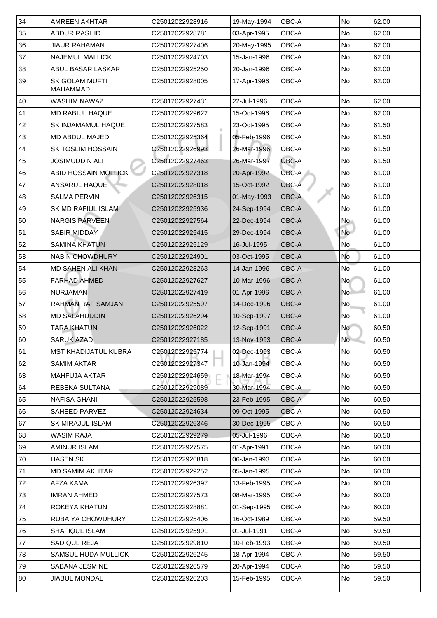| 34 | <b>AMREEN AKHTAR</b>                     | C25012022928916             | 19-May-1994 | OBC-A              | <b>No</b>                | 62.00 |
|----|------------------------------------------|-----------------------------|-------------|--------------------|--------------------------|-------|
| 35 | <b>ABDUR RASHID</b>                      | C25012022928781             | 03-Apr-1995 | OBC-A              | No                       | 62.00 |
| 36 | <b>JIAUR RAHAMAN</b>                     | C25012022927406             | 20-May-1995 | OBC-A              | N <sub>o</sub>           | 62.00 |
| 37 | <b>NAJEMUL MALLICK</b>                   | C25012022924703             | 15-Jan-1996 | <b>OBC-A</b>       | N <sub>o</sub>           | 62.00 |
| 38 | <b>ABUL BASAR LASKAR</b>                 | C25012022925250             | 20-Jan-1996 | <b>OBC-A</b>       | N <sub>o</sub>           | 62.00 |
| 39 | <b>SK GOLAM MUFTI</b><br><b>MAHAMMAD</b> | C25012022928005             | 17-Apr-1996 | <b>OBC-A</b>       | <b>No</b>                | 62.00 |
| 40 | <b>WASHIM NAWAZ</b>                      | C25012022927431             | 22-Jul-1996 | <b>OBC-A</b>       | N <sub>o</sub>           | 62.00 |
| 41 | <b>MD RABIUL HAQUE</b>                   | C25012022929622             | 15-Oct-1996 | OBC-A              | N <sub>o</sub>           | 62.00 |
| 42 | <b>SK INJAMAMUL HAQUE</b>                | C25012022927583             | 23-Oct-1995 | OBC-A              | No                       | 61.50 |
| 43 | <b>MD ABDUL MAJED</b>                    | C25012022925364             | 05-Feb-1996 | <b>OBC-A</b>       | N <sub>o</sub>           | 61.50 |
| 44 | <b>SK TOSLIM HOSSAIN</b>                 | C25012022926993             | 26-Mar-1996 | OBC-A              | No                       | 61.50 |
| 45 | <b>JOSIMUDDIN ALI</b>                    | C25012022927463             | 26-Mar-1997 | <b>OBC-A</b>       | No                       | 61.50 |
| 46 | <b>ABID HOSSAIN MOLLICK</b>              | C25012022927318             | 20-Apr-1992 | <b>OBC-A</b>       | <b>No</b>                | 61.00 |
| 47 | <b>ANSARUL HAQUE</b>                     | C25012022928018             | 15-Oct-1992 | <b>OBC-A</b>       | No                       | 61.00 |
| 48 | <b>SALMA PERVIN</b>                      | C25012022926315             | 01-May-1993 | <b>OBC-A</b>       | N <sub>o</sub>           | 61.00 |
| 49 | <b>SK MD RAFIUL ISLAM</b>                | C25012022925936             | 24-Sep-1994 | <b>OBC-A</b>       | No                       | 61.00 |
| 50 | <b>NARGIS PARVEEN</b>                    | C25012022927564             | 22-Dec-1994 | <b>OBC-A</b>       | <b>No</b>                | 61.00 |
| 51 | <b>SABIR MIDDAY</b>                      | C25012022925415             | 29-Dec-1994 | <b>OBC-A</b>       | No                       | 61.00 |
| 52 | <b>SAMINA KHATUN</b>                     | C25012022925129             | 16-Jul-1995 | <b>OBC-A</b>       | No                       | 61.00 |
| 53 | <b>NABIN CHOWDHURY</b>                   | C25012022924901             | 03-Oct-1995 | <b>OBC-A</b>       | No                       | 61.00 |
| 54 | <b>MD SAHEN ALI KHAN</b>                 | C25012022928263             | 14-Jan-1996 | <b>OBC-A</b>       | <b>No</b>                | 61.00 |
| 55 | <b>FARHAD AHMED</b>                      | C25012022927627             | 10-Mar-1996 | <b>OBC-A</b>       | No l                     | 61.00 |
| 56 | <b>NURJAMAN</b>                          | C25012022927419             | 01-Apr-1996 | <b>OBC-A</b>       | No <sup>1</sup>          | 61.00 |
| 57 | <b>RAHMAN RAF SAMJANI</b>                | C25012022925597             | 14-Dec-1996 | <b>OBC-A</b>       | No                       | 61.00 |
| 58 | <b>MD SALAHUDDIN</b>                     | C25012022926294             | 10-Sep-1997 | <b>OBC-A</b>       | No                       | 61.00 |
| 59 | <b>TARA KHATUN</b>                       | C25012022926022             | 12-Sep-1991 | <b>OBC-A</b>       | <b>No</b>                | 60.50 |
| 60 | <b>SARUK AZAD</b>                        | C25012022927185             | 13-Nov-1993 | $\overline{OBC-A}$ | $\overline{\mathsf{No}}$ | 60.50 |
| 61 | <b>IMST KHADIJATUL KUBRA</b>             | C25012022925774             | 02-Dec-1993 | <b>OBC-A</b>       | No                       | 60.50 |
| 62 | <b>SAMIM AKTAR</b>                       | C25012022927347             | 10-Jan-1994 | OBC-A              | No                       | 60.50 |
| 63 | MAHFUJA AKTAR                            | C25012022924659             | 18-Mar-1994 | OBC-A              | No                       | 60.50 |
| 64 | <b>REBEKA SULTANA</b>                    | C25012022929089             | 30-Mar-1994 | <b>OBC-A</b>       | No                       | 60.50 |
| 65 | <b>NAFISA GHANI</b>                      | C25012022925598             | 23-Feb-1995 | <b>OBC-A</b>       | No                       | 60.50 |
| 66 | <b>SAHEED PARVEZ</b>                     | C25012022924634             | 09-Oct-1995 | <b>OBC-A</b>       | No                       | 60.50 |
| 67 | <b>SK MIRAJUL ISLAM</b>                  | C25012022926346             | 30-Dec-1995 | OBC-A              | No                       | 60.50 |
| 68 | <b>WASIM RAJA</b>                        | C25012022929279             | 05-Jul-1996 | OBC-A              | No                       | 60.50 |
| 69 | <b>AMINUR ISLAM</b>                      | C25012022927575             | 01-Apr-1991 | OBC-A              | No                       | 60.00 |
| 70 | <b>HASEN SK</b>                          | C25012022926818             | 06-Jan-1993 | OBC-A              | No                       | 60.00 |
| 71 | <b>MD SAMIM AKHTAR</b>                   | C25012022929252             | 05-Jan-1995 | OBC-A              | No                       | 60.00 |
| 72 | <b>AFZA KAMAL</b>                        | C25012022926397             | 13-Feb-1995 | OBC-A              | No                       | 60.00 |
| 73 | <b>IMRAN AHMED</b>                       | C25012022927573             | 08-Mar-1995 | OBC-A              | N <sub>o</sub>           | 60.00 |
| 74 | ROKEYA KHATUN                            | C25012022928881             | 01-Sep-1995 | OBC-A              | No                       | 60.00 |
| 75 | <b>RUBAIYA CHOWDHURY</b>                 | C <sub>25012022925406</sub> | 16-Oct-1989 | OBC-A              | No                       | 59.50 |
| 76 | <b>SHAFIQUL ISLAM</b>                    | C25012022925991             | 01-Jul-1991 | <b>OBC-A</b>       | No                       | 59.50 |
| 77 | <b>SADIQUL REJA</b>                      | C25012022929810             | 10-Feb-1993 | OBC-A              | No                       | 59.50 |
| 78 | <b>SAMSUL HUDA MULLICK</b>               | C25012022926245             | 18-Apr-1994 | OBC-A              | No                       | 59.50 |
| 79 | <b>SABANA JESMINE</b>                    | C25012022926579             | 20-Apr-1994 | OBC-A              | No                       | 59.50 |
| 80 | <b>JIABUL MONDAL</b>                     | C25012022926203             | 15-Feb-1995 | OBC-A              | No                       | 59.50 |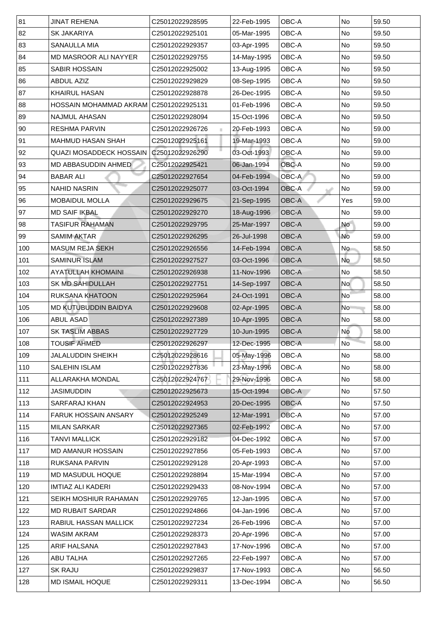| 81  | <b>JINAT REHENA</b>            | C25012022928595   | 22-Feb-1995 | <b>OBC-A</b> | <b>No</b>      | 59.50 |
|-----|--------------------------------|-------------------|-------------|--------------|----------------|-------|
| 82  | <b>SK JAKARIYA</b>             | C25012022925101   | 05-Mar-1995 | <b>OBC-A</b> | <b>No</b>      | 59.50 |
| 83  | <b>SANAULLA MIA</b>            | C25012022929357   | 03-Apr-1995 | OBC-A        | No             | 59.50 |
| 84  | <b>MD MASROOR ALI NAYYER</b>   | C25012022929755   | 14-May-1995 | <b>OBC-A</b> | <b>No</b>      | 59.50 |
| 85  | <b>SABIR HOSSAIN</b>           | C25012022925002   | 13-Aug-1995 | <b>OBC-A</b> | No             | 59.50 |
| 86  | <b>ABDUL AZIZ</b>              | C25012022929829   | 08-Sep-1995 | OBC-A        | No             | 59.50 |
| 87  | <b>KHAIRUL HASAN</b>           | C25012022928878   | 26-Dec-1995 | <b>OBC-A</b> | <b>No</b>      | 59.50 |
| 88  | <b>HOSSAIN MOHAMMAD AKRAM</b>  | C25012022925131 C | 01-Feb-1996 | OBC-A        | No             | 59.50 |
| 89  | <b>NAJMUL AHASAN</b>           | C25012022928094   | 15-Oct-1996 | <b>OBC-A</b> | No             | 59.50 |
| 90  | <b>RESHMA PARVIN</b>           | C25012022926726   | 20-Feb-1993 | <b>OBC-A</b> | <b>No</b>      | 59.00 |
| 91  | <b>MAHMUD HASAN SHAH</b>       | C25012022925161   | 19-Mar-1993 | <b>OBC-A</b> | <b>No</b>      | 59.00 |
| 92  | <b>QUAZI MOSADDECK HOSSAIN</b> | C25012022926290   | 03-Oct-1993 | <b>OBC-A</b> | No             | 59.00 |
| 93  | <b>MD ABBASUDDIN AHMED</b>     | C25012022925421   | 06-Jan-1994 | <b>OBC-A</b> | No             | 59.00 |
| 94  | <b>BABAR ALI</b>               | C25012022927654   | 04-Feb-1994 | <b>OBC-A</b> | No             | 59.00 |
| 95  | <b>NAHID NASRIN</b>            | C25012022925077   | 03-Oct-1994 | <b>OBC-A</b> | No             | 59.00 |
| 96  | <b>MOBAIDUL MOLLA</b>          | C25012022929675   | 21-Sep-1995 | <b>OBC-A</b> | Yes            | 59.00 |
| 97  | <b>MD SAIF IKBAL</b>           | C25012022929270   | 18-Aug-1996 | <b>OBC-A</b> | <b>No</b>      | 59.00 |
| 98  | TASIFUR RAHAMAN                | C25012022929795   | 25-Mar-1997 | <b>OBC-A</b> | <b>No</b>      | 59.00 |
| 99  | <b>SAMIM AKTAR</b>             | C25012022926295   | 26-Jul-1998 | <b>OBC-A</b> | No             | 59.00 |
| 100 | <b>MASUM REJA SEKH</b>         | C25012022926556   | 14-Feb-1994 | <b>OBC-A</b> | <b>No</b>      | 58.50 |
| 101 | <b>SAMINUR ISLAM</b>           | C25012022927527   | 03-Oct-1996 | <b>OBC-A</b> | <b>No</b>      | 58.50 |
| 102 | <b>AYATULLAH KHOMAINI</b>      | C25012022926938   | 11-Nov-1996 | OBC-A        | No             | 58.50 |
| 103 | <b>SK MD SAHIDULLAH</b>        | C25012022927751   | 14-Sep-1997 | <b>OBC-A</b> | No             | 58.50 |
| 104 | <b>RUKSANA KHATOON</b>         | C25012022925964   | 24-Oct-1991 | <b>OBC-A</b> | N <sub>o</sub> | 58.00 |
| 105 | <b>MD KUTUBUDDIN BAIDYA</b>    | C25012022929608   | 02-Apr-1995 | <b>OBC-A</b> | N <sub>o</sub> | 58.00 |
| 106 | <b>ABUL ASAD</b>               | C25012022927389   | 10-Apr-1995 | <b>OBC-A</b> | <b>No</b>      | 58.00 |
| 107 | <b>SK TASLIM ABBAS</b>         | C25012022927729   | 10-Jun-1995 | <b>OBC-A</b> | No             | 58.00 |
| 108 | <b>TOUSIF AHMED</b>            | C25012022926297   | 12-Dec-1995 | <b>OBC-A</b> | <b>No</b>      | 58.00 |
| 109 | <b>JALALUDDIN SHEIKH</b>       | C25012022928616   | 05-May-1996 | <b>OBC-A</b> | No             | 58.00 |
| 110 | <b>SALEHIN ISLAM</b>           | C25012022927836   | 23-May-1996 | <b>OBC-A</b> | <b>No</b>      | 58.00 |
| 111 | <b>ALLARAKHA MONDAL</b>        | C25012022924767   | 29-Nov-1996 | <b>OBC-A</b> | <b>No</b>      | 58.00 |
| 112 | <b>JASIMUDDIN</b>              | C25012022925673   | 15-Oct-1994 | <b>OBC-A</b> | No             | 57.50 |
| 113 | <b>SARFARAJ KHAN</b>           | C25012022924953   | 20-Dec-1995 | <b>OBC-A</b> | <b>No</b>      | 57.50 |
| 114 | <b>FARUK HOSSAIN ANSARY</b>    | C25012022925249   | 12-Mar-1991 | OBC-A        | <b>No</b>      | 57.00 |
| 115 | <b>MILAN SARKAR</b>            | C25012022927365   | 02-Feb-1992 | <b>OBC-A</b> | <b>No</b>      | 57.00 |
| 116 | TANVI MALLICK                  | C25012022929182   | 04-Dec-1992 | <b>OBC-A</b> | No             | 57.00 |
| 117 | <b>MD AMANUR HOSSAIN</b>       | C25012022927856   | 05-Feb-1993 | OBC-A        | <b>No</b>      | 57.00 |
| 118 | <b>RUKSANA PARVIN</b>          | C25012022929128   | 20-Apr-1993 | <b>OBC-A</b> | <b>No</b>      | 57.00 |
| 119 | <b>MD MASUDUL HOQUE</b>        | C25012022928894   | 15-Mar-1994 | <b>OBC-A</b> | No             | 57.00 |
| 120 | <b>IMTIAZ ALI KADERI</b>       | C25012022929433   | 08-Nov-1994 | <b>OBC-A</b> | No             | 57.00 |
| 121 | SEIKH MOSHIUR RAHAMAN          | C25012022929765   | 12-Jan-1995 | <b>OBC-A</b> | <b>No</b>      | 57.00 |
| 122 | <b>MD RUBAIT SARDAR</b>        | C25012022924866   | 04-Jan-1996 | OBC-A        | No             | 57.00 |
| 123 | RABIUL HASSAN MALLICK          | C25012022927234   | 26-Feb-1996 | OBC-A        | No             | 57.00 |
| 124 | <b>WASIM AKRAM</b>             | C25012022928373   | 20-Apr-1996 | OBC-A        | No             | 57.00 |
| 125 | <b>ARIF HALSANA</b>            | C25012022927843   | 17-Nov-1996 | <b>OBC-A</b> | No             | 57.00 |
| 126 | <b>ABU TALHA</b>               | C25012022927265   | 22-Feb-1997 | OBC-A        | No             | 57.00 |
| 127 | <b>SK RAJU</b>                 | C25012022929837   | 17-Nov-1993 | <b>OBC-A</b> | No             | 56.50 |
| 128 | <b>MD ISMAIL HOQUE</b>         | C25012022929311   | 13-Dec-1994 | OBC-A        | No             | 56.50 |